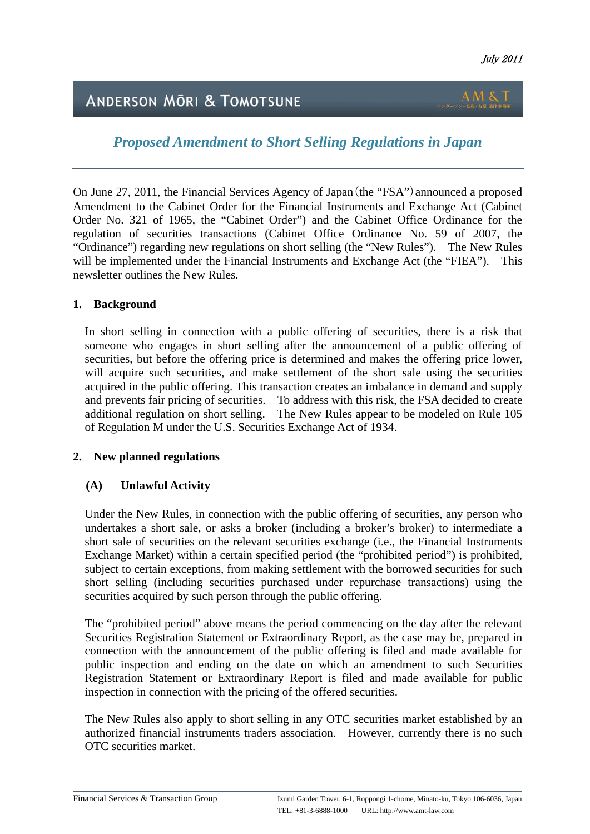L

# **ANDERSON MÖRI & TOMOTSUNE**

*Proposed Amendment to Short Selling Regulations in Japan* 

On June 27, 2011, the Financial Services Agency of Japan(the "FSA")announced a proposed Amendment to the Cabinet Order for the Financial Instruments and Exchange Act (Cabinet Order No. 321 of 1965, the "Cabinet Order") and the Cabinet Office Ordinance for the regulation of securities transactions (Cabinet Office Ordinance No. 59 of 2007, the "Ordinance") regarding new regulations on short selling (the "New Rules"). The New Rules will be implemented under the Financial Instruments and Exchange Act (the "FIEA"). This newsletter outlines the New Rules.

## **1. Background**

In short selling in connection with a public offering of securities, there is a risk that someone who engages in short selling after the announcement of a public offering of securities, but before the offering price is determined and makes the offering price lower, will acquire such securities, and make settlement of the short sale using the securities acquired in the public offering. This transaction creates an imbalance in demand and supply and prevents fair pricing of securities. To address with this risk, the FSA decided to create additional regulation on short selling. The New Rules appear to be modeled on Rule 105 of Regulation M under the U.S. Securities Exchange Act of 1934.

## **2. New planned regulations**

## **(A) Unlawful Activity**

Under the New Rules, in connection with the public offering of securities, any person who undertakes a short sale, or asks a broker (including a broker's broker) to intermediate a short sale of securities on the relevant securities exchange (i.e., the Financial Instruments Exchange Market) within a certain specified period (the "prohibited period") is prohibited, subject to certain exceptions, from making settlement with the borrowed securities for such short selling (including securities purchased under repurchase transactions) using the securities acquired by such person through the public offering.

The "prohibited period" above means the period commencing on the day after the relevant Securities Registration Statement or Extraordinary Report, as the case may be, prepared in connection with the announcement of the public offering is filed and made available for public inspection and ending on the date on which an amendment to such Securities Registration Statement or Extraordinary Report is filed and made available for public inspection in connection with the pricing of the offered securities.

The New Rules also apply to short selling in any OTC securities market established by an authorized financial instruments traders association. However, currently there is no such OTC securities market.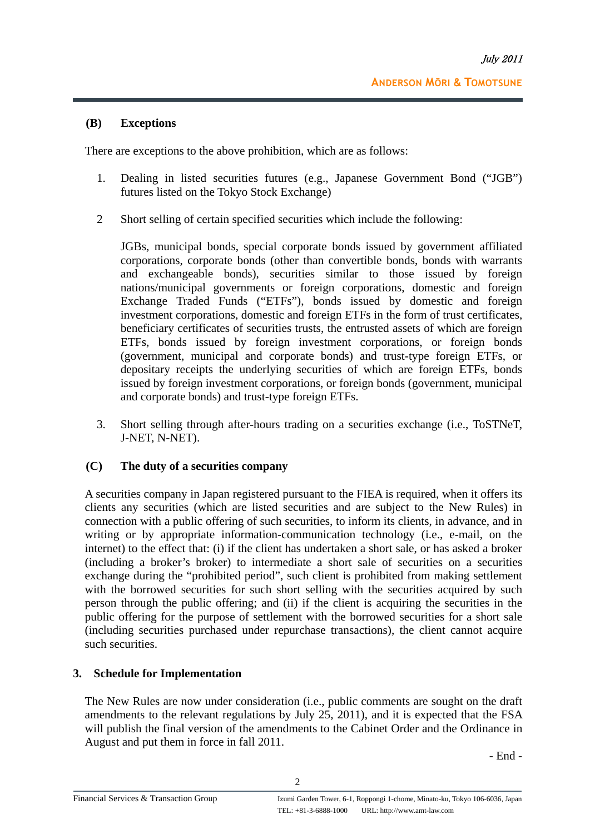## **(B) Exceptions**

There are exceptions to the above prohibition, which are as follows:

- 1. Dealing in listed securities futures (e.g., Japanese Government Bond ("JGB") futures listed on the Tokyo Stock Exchange)
- 2 Short selling of certain specified securities which include the following:

JGBs, municipal bonds, special corporate bonds issued by government affiliated corporations, corporate bonds (other than convertible bonds, bonds with warrants and exchangeable bonds), securities similar to those issued by foreign nations/municipal governments or foreign corporations, domestic and foreign Exchange Traded Funds ("ETFs"), bonds issued by domestic and foreign investment corporations, domestic and foreign ETFs in the form of trust certificates, beneficiary certificates of securities trusts, the entrusted assets of which are foreign ETFs, bonds issued by foreign investment corporations, or foreign bonds (government, municipal and corporate bonds) and trust-type foreign ETFs, or depositary receipts the underlying securities of which are foreign ETFs, bonds issued by foreign investment corporations, or foreign bonds (government, municipal and corporate bonds) and trust-type foreign ETFs.

3. Short selling through after-hours trading on a securities exchange (i.e., ToSTNeT, J-NET, N-NET).

#### **(C) The duty of a securities company**

A securities company in Japan registered pursuant to the FIEA is required, when it offers its clients any securities (which are listed securities and are subject to the New Rules) in connection with a public offering of such securities, to inform its clients, in advance, and in writing or by appropriate information-communication technology (i.e., e-mail, on the internet) to the effect that: (i) if the client has undertaken a short sale, or has asked a broker (including a broker's broker) to intermediate a short sale of securities on a securities exchange during the "prohibited period", such client is prohibited from making settlement with the borrowed securities for such short selling with the securities acquired by such person through the public offering; and (ii) if the client is acquiring the securities in the public offering for the purpose of settlement with the borrowed securities for a short sale (including securities purchased under repurchase transactions), the client cannot acquire such securities.

## **3. Schedule for Implementation**

The New Rules are now under consideration (i.e., public comments are sought on the draft amendments to the relevant regulations by July 25, 2011), and it is expected that the FSA will publish the final version of the amendments to the Cabinet Order and the Ordinance in August and put them in force in fall 2011.

- End -